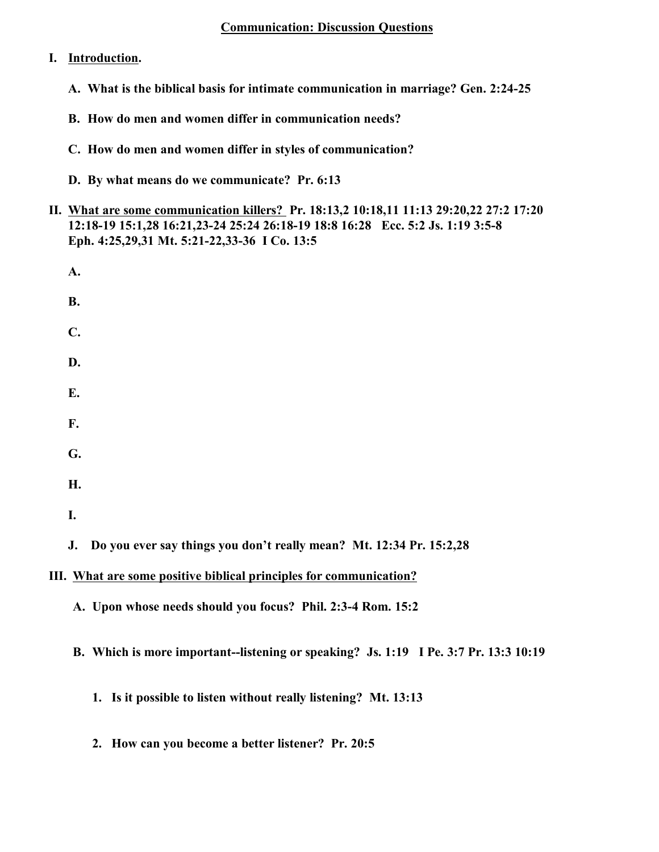## **Communication: Discussion Questions**

## **I. Introduction.**

- **A. What is the biblical basis for intimate communication in marriage? Gen. 2:24-25**
- **B. How do men and women differ in communication needs?**
- **C. How do men and women differ in styles of communication?**
- **D. By what means do we communicate? Pr. 6:13**
- **II. What are some communication killers? Pr. 18:13,2 10:18,11 11:13 29:20,22 27:2 17:20 12:18-19 15:1,28 16:21,23-24 25:24 26:18-19 18:8 16:28 Ecc. 5:2 Js. 1:19 3:5-8 Eph. 4:25,29,31 Mt. 5:21-22,33-36 I Co. 13:5**
- **A. B. C. D. E. F. G. H. I. J. Do you ever say things you don't really mean? Mt. 12:34 Pr. 15:2,28 III. What are some positive biblical principles for communication? A. Upon whose needs should you focus? Phil. 2:3-4 Rom. 15:2**
	- **B. Which is more important--listening or speaking? Js. 1:19 I Pe. 3:7 Pr. 13:3 10:19**
		- **1. Is it possible to listen without really listening? Mt. 13:13**
		- **2. How can you become a better listener? Pr. 20:5**